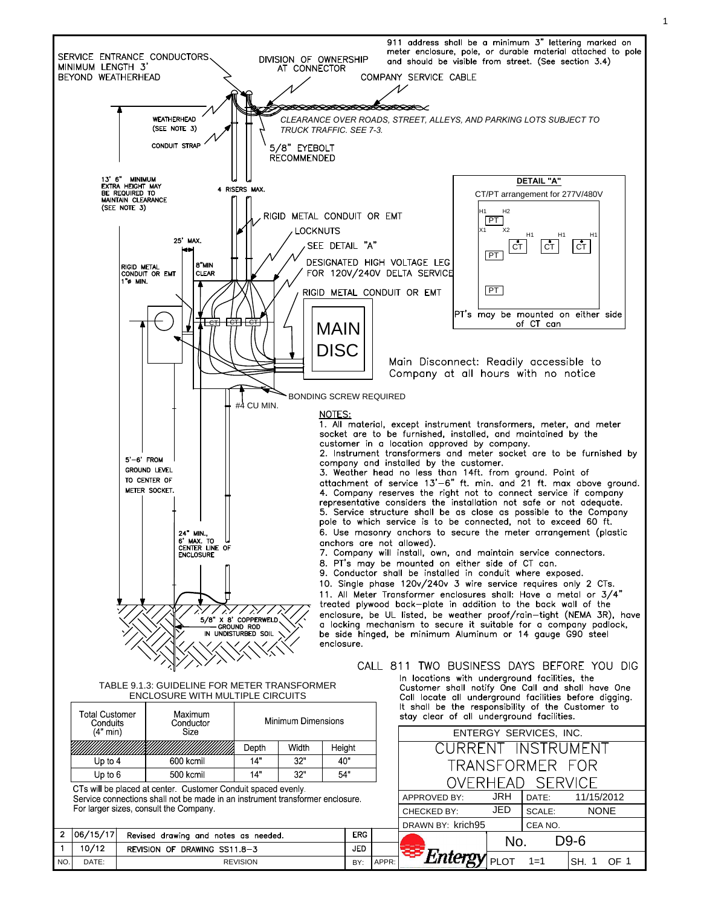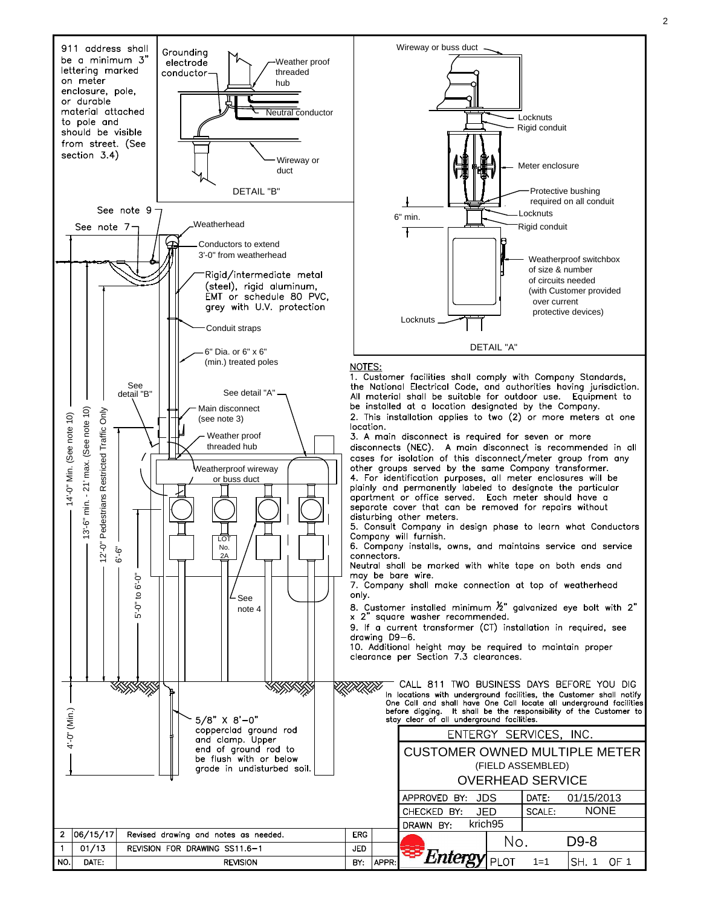